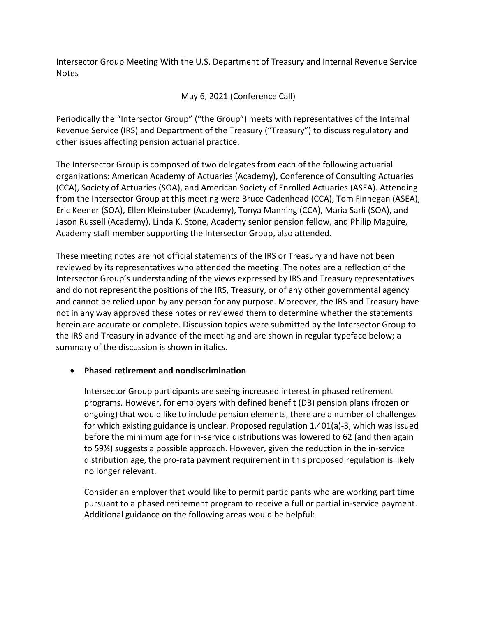Intersector Group Meeting With the U.S. Department of Treasury and Internal Revenue Service Notes

May 6, 2021 (Conference Call)

Periodically the "Intersector Group" ("the Group") meets with representatives of the Internal Revenue Service (IRS) and Department of the Treasury ("Treasury") to discuss regulatory and other issues affecting pension actuarial practice.

The Intersector Group is composed of two delegates from each of the following actuarial organizations: American Academy of Actuaries (Academy), Conference of Consulting Actuaries (CCA), Society of Actuaries (SOA), and American Society of Enrolled Actuaries (ASEA). Attending from the Intersector Group at this meeting were Bruce Cadenhead (CCA), Tom Finnegan (ASEA), Eric Keener (SOA), Ellen Kleinstuber (Academy), Tonya Manning (CCA), Maria Sarli (SOA), and Jason Russell (Academy). Linda K. Stone, Academy senior pension fellow, and Philip Maguire, Academy staff member supporting the Intersector Group, also attended.

These meeting notes are not official statements of the IRS or Treasury and have not been reviewed by its representatives who attended the meeting. The notes are a reflection of the Intersector Group's understanding of the views expressed by IRS and Treasury representatives and do not represent the positions of the IRS, Treasury, or of any other governmental agency and cannot be relied upon by any person for any purpose. Moreover, the IRS and Treasury have not in any way approved these notes or reviewed them to determine whether the statements herein are accurate or complete. Discussion topics were submitted by the Intersector Group to the IRS and Treasury in advance of the meeting and are shown in regular typeface below; a summary of the discussion is shown in italics.

## • **Phased retirement and nondiscrimination**

Intersector Group participants are seeing increased interest in phased retirement programs. However, for employers with defined benefit (DB) pension plans (frozen or ongoing) that would like to include pension elements, there are a number of challenges for which existing guidance is unclear. Proposed regulation 1.401(a)-3, which was issued before the minimum age for in-service distributions was lowered to 62 (and then again to 59½) suggests a possible approach. However, given the reduction in the in-service distribution age, the pro-rata payment requirement in this proposed regulation is likely no longer relevant.

Consider an employer that would like to permit participants who are working part time pursuant to a phased retirement program to receive a full or partial in-service payment. Additional guidance on the following areas would be helpful: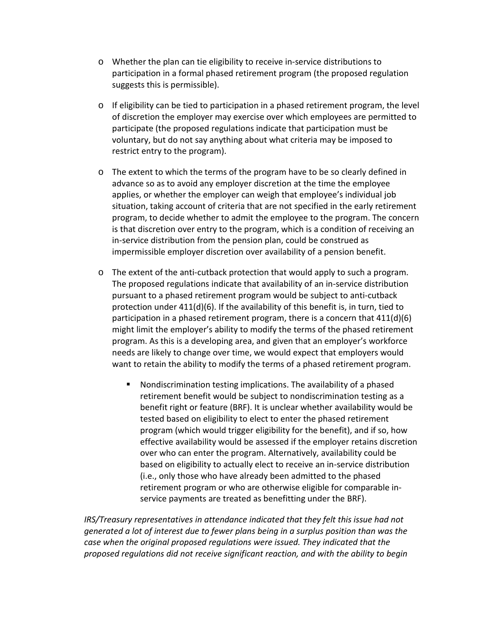- o Whether the plan can tie eligibility to receive in-service distributions to participation in a formal phased retirement program (the proposed regulation suggests this is permissible).
- $\circ$  If eligibility can be tied to participation in a phased retirement program, the level of discretion the employer may exercise over which employees are permitted to participate (the proposed regulations indicate that participation must be voluntary, but do not say anything about what criteria may be imposed to restrict entry to the program).
- o The extent to which the terms of the program have to be so clearly defined in advance so as to avoid any employer discretion at the time the employee applies, or whether the employer can weigh that employee's individual job situation, taking account of criteria that are not specified in the early retirement program, to decide whether to admit the employee to the program. The concern is that discretion over entry to the program, which is a condition of receiving an in-service distribution from the pension plan, could be construed as impermissible employer discretion over availability of a pension benefit.
- o The extent of the anti-cutback protection that would apply to such a program. The proposed regulations indicate that availability of an in-service distribution pursuant to a phased retirement program would be subject to anti-cutback protection under  $411(d)(6)$ . If the availability of this benefit is, in turn, tied to participation in a phased retirement program, there is a concern that  $411(d)(6)$ might limit the employer's ability to modify the terms of the phased retirement program. As this is a developing area, and given that an employer's workforce needs are likely to change over time, we would expect that employers would want to retain the ability to modify the terms of a phased retirement program.
	- Nondiscrimination testing implications. The availability of a phased retirement benefit would be subject to nondiscrimination testing as a benefit right or feature (BRF). It is unclear whether availability would be tested based on eligibility to elect to enter the phased retirement program (which would trigger eligibility for the benefit), and if so, how effective availability would be assessed if the employer retains discretion over who can enter the program. Alternatively, availability could be based on eligibility to actually elect to receive an in-service distribution (i.e., only those who have already been admitted to the phased retirement program or who are otherwise eligible for comparable inservice payments are treated as benefitting under the BRF).

*IRS/Treasury representatives in attendance indicated that they felt this issue had not generated a lot of interest due to fewer plans being in a surplus position than was the case when the original proposed regulations were issued. They indicated that the proposed regulations did not receive significant reaction, and with the ability to begin*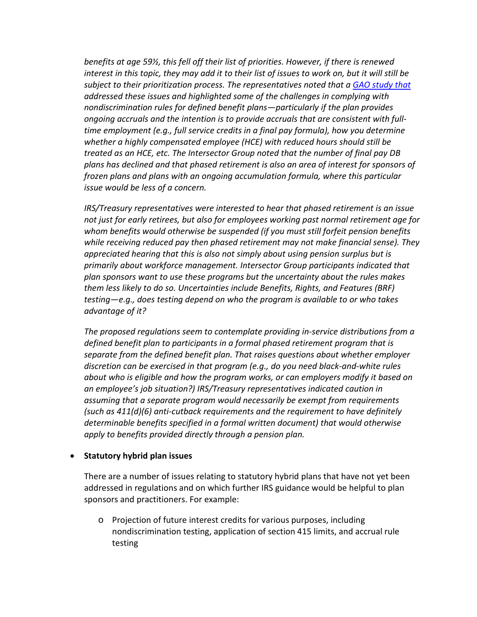*benefits at age 59½, this fell off their list of priorities. However, if there is renewed interest in this topic, they may add it to their list of issues to work on, but it will still be subject to their prioritization process. The representatives noted that a [GAO study](https://www.gao.gov/assets/gao-17-536.pdf) that addressed these issues and highlighted some of the challenges in complying with nondiscrimination rules for defined benefit plans—particularly if the plan provides ongoing accruals and the intention is to provide accruals that are consistent with fulltime employment (e.g., full service credits in a final pay formula), how you determine whether a highly compensated employee (HCE) with reduced hours should still be treated as an HCE, etc. The Intersector Group noted that the number of final pay DB plans has declined and that phased retirement is also an area of interest for sponsors of frozen plans and plans with an ongoing accumulation formula, where this particular issue would be less of a concern.* 

*IRS/Treasury representatives were interested to hear that phased retirement is an issue not just for early retirees, but also for employees working past normal retirement age for whom benefits would otherwise be suspended (if you must still forfeit pension benefits while receiving reduced pay then phased retirement may not make financial sense). They appreciated hearing that this is also not simply about using pension surplus but is primarily about workforce management. Intersector Group participants indicated that plan sponsors want to use these programs but the uncertainty about the rules makes them less likely to do so. Uncertainties include Benefits, Rights, and Features (BRF) testing—e.g., does testing depend on who the program is available to or who takes advantage of it?*

*The proposed regulations seem to contemplate providing in-service distributions from a defined benefit plan to participants in a formal phased retirement program that is separate from the defined benefit plan. That raises questions about whether employer discretion can be exercised in that program (e.g., do you need black-and-white rules about who is eligible and how the program works, or can employers modify it based on an employee's job situation?) IRS/Treasury representatives indicated caution in assuming that a separate program would necessarily be exempt from requirements (such as 411(d)(6) anti-cutback requirements and the requirement to have definitely determinable benefits specified in a formal written document) that would otherwise apply to benefits provided directly through a pension plan.*

#### • **Statutory hybrid plan issues**

There are a number of issues relating to statutory hybrid plans that have not yet been addressed in regulations and on which further IRS guidance would be helpful to plan sponsors and practitioners. For example:

o Projection of future interest credits for various purposes, including nondiscrimination testing, application of section 415 limits, and accrual rule testing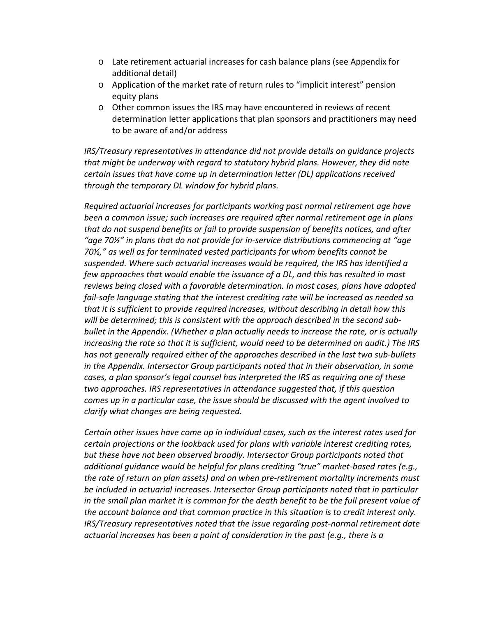- o Late retirement actuarial increases for cash balance plans (see Appendix for additional detail)
- o Application of the market rate of return rules to "implicit interest" pension equity plans
- o Other common issues the IRS may have encountered in reviews of recent determination letter applications that plan sponsors and practitioners may need to be aware of and/or address

*IRS/Treasury representatives in attendance did not provide details on guidance projects that might be underway with regard to statutory hybrid plans. However, they did note certain issues that have come up in determination letter (DL) applications received through the temporary DL window for hybrid plans.*

*Required actuarial increases for participants working past normal retirement age have been a common issue; such increases are required after normal retirement age in plans that do not suspend benefits or fail to provide suspension of benefits notices, and after "age 70½" in plans that do not provide for in-service distributions commencing at "age 70½," as well as for terminated vested participants for whom benefits cannot be suspended. Where such actuarial increases would be required, the IRS has identified a few approaches that would enable the issuance of a DL, and this has resulted in most reviews being closed with a favorable determination. In most cases, plans have adopted fail-safe language stating that the interest crediting rate will be increased as needed so that it is sufficient to provide required increases, without describing in detail how this will be determined; this is consistent with the approach described in the second subbullet in the Appendix. (Whether a plan actually needs to increase the rate, or is actually increasing the rate so that it is sufficient, would need to be determined on audit.) The IRS has not generally required either of the approaches described in the last two sub-bullets in the Appendix. Intersector Group participants noted that in their observation, in some cases, a plan sponsor's legal counsel has interpreted the IRS as requiring one of these two approaches. IRS representatives in attendance suggested that, if this question comes up in a particular case, the issue should be discussed with the agent involved to clarify what changes are being requested.*

*Certain other issues have come up in individual cases, such as the interest rates used for certain projections or the lookback used for plans with variable interest crediting rates, but these have not been observed broadly. Intersector Group participants noted that additional guidance would be helpful for plans crediting "true" market-based rates (e.g., the rate of return on plan assets) and on when pre-retirement mortality increments must be included in actuarial increases. Intersector Group participants noted that in particular in the small plan market it is common for the death benefit to be the full present value of the account balance and that common practice in this situation is to credit interest only. IRS/Treasury representatives noted that the issue regarding post-normal retirement date actuarial increases has been a point of consideration in the past (e.g., there is a*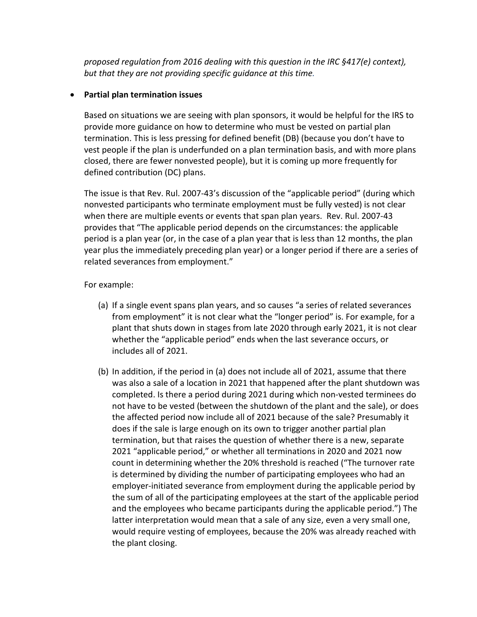*proposed regulation from 2016 dealing with this question in the IRC §417(e) context), but that they are not providing specific guidance at this time.*

#### • **Partial plan termination issues**

Based on situations we are seeing with plan sponsors, it would be helpful for the IRS to provide more guidance on how to determine who must be vested on partial plan termination. This is less pressing for defined benefit (DB) (because you don't have to vest people if the plan is underfunded on a plan termination basis, and with more plans closed, there are fewer nonvested people), but it is coming up more frequently for defined contribution (DC) plans.

The issue is that Rev. Rul. 2007-43's discussion of the "applicable period" (during which nonvested participants who terminate employment must be fully vested) is not clear when there are multiple events or events that span plan years. Rev. Rul. 2007-43 provides that "The applicable period depends on the circumstances: the applicable period is a plan year (or, in the case of a plan year that is less than 12 months, the plan year plus the immediately preceding plan year) or a longer period if there are a series of related severances from employment."

#### For example:

- (a) If a single event spans plan years, and so causes "a series of related severances from employment" it is not clear what the "longer period" is. For example, for a plant that shuts down in stages from late 2020 through early 2021, it is not clear whether the "applicable period" ends when the last severance occurs, or includes all of 2021.
- (b) In addition, if the period in (a) does not include all of 2021, assume that there was also a sale of a location in 2021 that happened after the plant shutdown was completed. Is there a period during 2021 during which non-vested terminees do not have to be vested (between the shutdown of the plant and the sale), or does the affected period now include all of 2021 because of the sale? Presumably it does if the sale is large enough on its own to trigger another partial plan termination, but that raises the question of whether there is a new, separate 2021 "applicable period," or whether all terminations in 2020 and 2021 now count in determining whether the 20% threshold is reached ("The turnover rate is determined by dividing the number of participating employees who had an employer-initiated severance from employment during the applicable period by the sum of all of the participating employees at the start of the applicable period and the employees who became participants during the applicable period.") The latter interpretation would mean that a sale of any size, even a very small one, would require vesting of employees, because the 20% was already reached with the plant closing.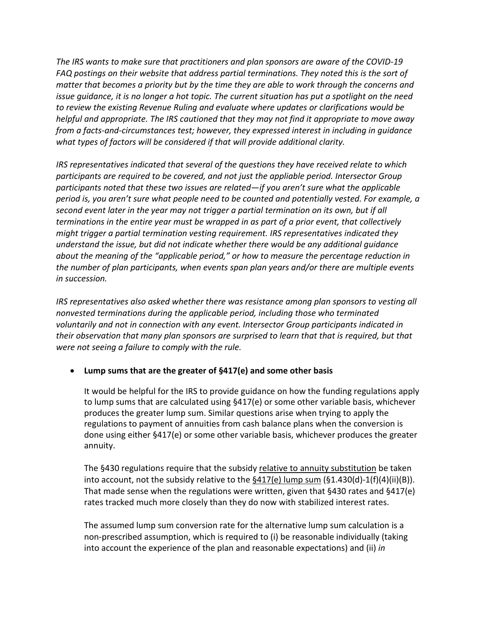*The IRS wants to make sure that practitioners and plan sponsors are aware of the COVID-19 FAQ postings on their website that address partial terminations. They noted this is the sort of matter that becomes a priority but by the time they are able to work through the concerns and issue guidance, it is no longer a hot topic. The current situation has put a spotlight on the need to review the existing Revenue Ruling and evaluate where updates or clarifications would be helpful and appropriate. The IRS cautioned that they may not find it appropriate to move away from a facts-and-circumstances test; however, they expressed interest in including in guidance what types of factors will be considered if that will provide additional clarity.*

*IRS representatives indicated that several of the questions they have received relate to which participants are required to be covered, and not just the appliable period. Intersector Group participants noted that these two issues are related—if you aren't sure what the applicable period is, you aren't sure what people need to be counted and potentially vested. For example, a second event later in the year may not trigger a partial termination on its own, but if all terminations in the entire year must be wrapped in as part of a prior event, that collectively might trigger a partial termination vesting requirement. IRS representatives indicated they understand the issue, but did not indicate whether there would be any additional guidance about the meaning of the "applicable period," or how to measure the percentage reduction in the number of plan participants, when events span plan years and/or there are multiple events in succession.* 

*IRS representatives also asked whether there was resistance among plan sponsors to vesting all nonvested terminations during the applicable period, including those who terminated voluntarily and not in connection with any event. Intersector Group participants indicated in their observation that many plan sponsors are surprised to learn that that is required, but that were not seeing a failure to comply with the rule.*

## • **Lump sums that are the greater of §417(e) and some other basis**

It would be helpful for the IRS to provide guidance on how the funding regulations apply to lump sums that are calculated using §417(e) or some other variable basis, whichever produces the greater lump sum. Similar questions arise when trying to apply the regulations to payment of annuities from cash balance plans when the conversion is done using either §417(e) or some other variable basis, whichever produces the greater annuity.

The §430 regulations require that the subsidy relative to annuity substitution be taken into account, not the subsidy relative to the  $\frac{6417(e)}{w}$  lump sum (§1.430(d)-1(f)(4)(ii)(B)). That made sense when the regulations were written, given that §430 rates and §417(e) rates tracked much more closely than they do now with stabilized interest rates.

The assumed lump sum conversion rate for the alternative lump sum calculation is a non-prescribed assumption, which is required to (i) be reasonable individually (taking into account the experience of the plan and reasonable expectations) and (ii) *in*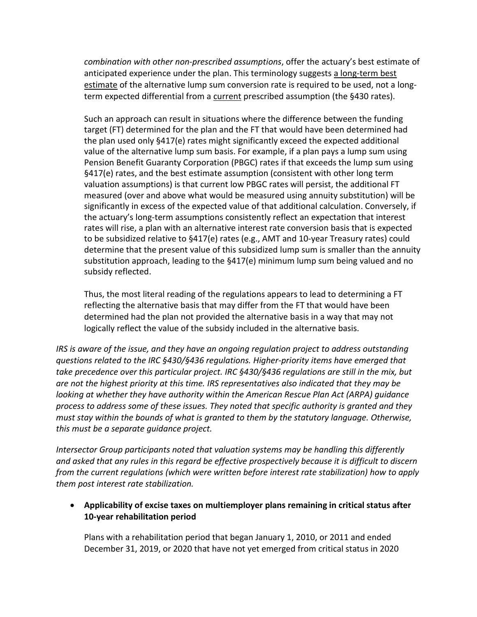*combination with other non-prescribed assumptions*, offer the actuary's best estimate of anticipated experience under the plan. This terminology suggests a long-term best estimate of the alternative lump sum conversion rate is required to be used, not a longterm expected differential from a current prescribed assumption (the §430 rates).

Such an approach can result in situations where the difference between the funding target (FT) determined for the plan and the FT that would have been determined had the plan used only §417(e) rates might significantly exceed the expected additional value of the alternative lump sum basis. For example, if a plan pays a lump sum using Pension Benefit Guaranty Corporation (PBGC) rates if that exceeds the lump sum using §417(e) rates, and the best estimate assumption (consistent with other long term valuation assumptions) is that current low PBGC rates will persist, the additional FT measured (over and above what would be measured using annuity substitution) will be significantly in excess of the expected value of that additional calculation. Conversely, if the actuary's long-term assumptions consistently reflect an expectation that interest rates will rise, a plan with an alternative interest rate conversion basis that is expected to be subsidized relative to §417(e) rates (e.g., AMT and 10-year Treasury rates) could determine that the present value of this subsidized lump sum is smaller than the annuity substitution approach, leading to the §417(e) minimum lump sum being valued and no subsidy reflected.

Thus, the most literal reading of the regulations appears to lead to determining a FT reflecting the alternative basis that may differ from the FT that would have been determined had the plan not provided the alternative basis in a way that may not logically reflect the value of the subsidy included in the alternative basis.

*IRS is aware of the issue, and they have an ongoing regulation project to address outstanding questions related to the IRC §430/§436 regulations. Higher-priority items have emerged that take precedence over this particular project. IRC §430/§436 regulations are still in the mix, but are not the highest priority at this time. IRS representatives also indicated that they may be looking at whether they have authority within the American Rescue Plan Act (ARPA) guidance process to address some of these issues. They noted that specific authority is granted and they must stay within the bounds of what is granted to them by the statutory language. Otherwise, this must be a separate guidance project.* 

*Intersector Group participants noted that valuation systems may be handling this differently and asked that any rules in this regard be effective prospectively because it is difficult to discern from the current regulations (which were written before interest rate stabilization) how to apply them post interest rate stabilization.*

• **Applicability of excise taxes on multiemployer plans remaining in critical status after 10-year rehabilitation period**

Plans with a rehabilitation period that began January 1, 2010, or 2011 and ended December 31, 2019, or 2020 that have not yet emerged from critical status in 2020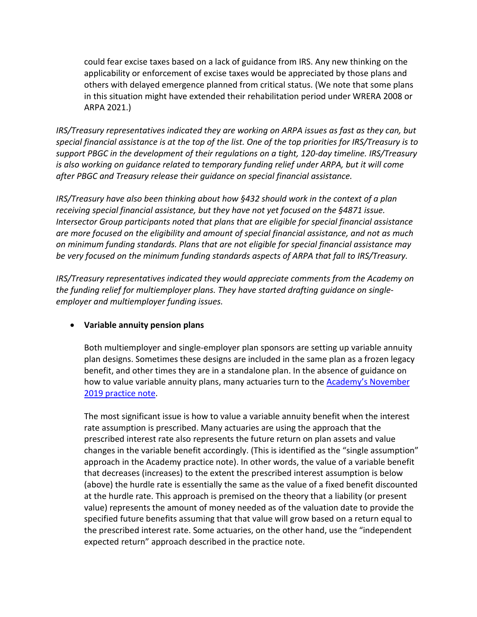could fear excise taxes based on a lack of guidance from IRS. Any new thinking on the applicability or enforcement of excise taxes would be appreciated by those plans and others with delayed emergence planned from critical status. (We note that some plans in this situation might have extended their rehabilitation period under WRERA 2008 or ARPA 2021.)

*IRS/Treasury representatives indicated they are working on ARPA issues as fast as they can, but special financial assistance is at the top of the list. One of the top priorities for IRS/Treasury is to support PBGC in the development of their regulations on a tight, 120-day timeline. IRS/Treasury is also working on guidance related to temporary funding relief under ARPA, but it will come after PBGC and Treasury release their guidance on special financial assistance.* 

*IRS/Treasury have also been thinking about how §432 should work in the context of a plan receiving special financial assistance, but they have not yet focused on the §4871 issue. Intersector Group participants noted that plans that are eligible for special financial assistance are more focused on the eligibility and amount of special financial assistance, and not as much on minimum funding standards. Plans that are not eligible for special financial assistance may be very focused on the minimum funding standards aspects of ARPA that fall to IRS/Treasury.*

*IRS/Treasury representatives indicated they would appreciate comments from the Academy on the funding relief for multiemployer plans. They have started drafting guidance on singleemployer and multiemployer funding issues.*

## • **Variable annuity pension plans**

Both multiemployer and single-employer plan sponsors are setting up variable annuity plan designs. Sometimes these designs are included in the same plan as a frozen legacy benefit, and other times they are in a standalone plan. In the absence of guidance on how to value variable annuity plans, many actuaries turn to the Academy's November [2019 practice note.](https://www.actuary.org/sites/default/files/2019-11/PensionCommittee_VariableAnnuityPlans_PracticeNote.pdf)

The most significant issue is how to value a variable annuity benefit when the interest rate assumption is prescribed. Many actuaries are using the approach that the prescribed interest rate also represents the future return on plan assets and value changes in the variable benefit accordingly. (This is identified as the "single assumption" approach in the Academy practice note). In other words, the value of a variable benefit that decreases (increases) to the extent the prescribed interest assumption is below (above) the hurdle rate is essentially the same as the value of a fixed benefit discounted at the hurdle rate. This approach is premised on the theory that a liability (or present value) represents the amount of money needed as of the valuation date to provide the specified future benefits assuming that that value will grow based on a return equal to the prescribed interest rate. Some actuaries, on the other hand, use the "independent expected return" approach described in the practice note.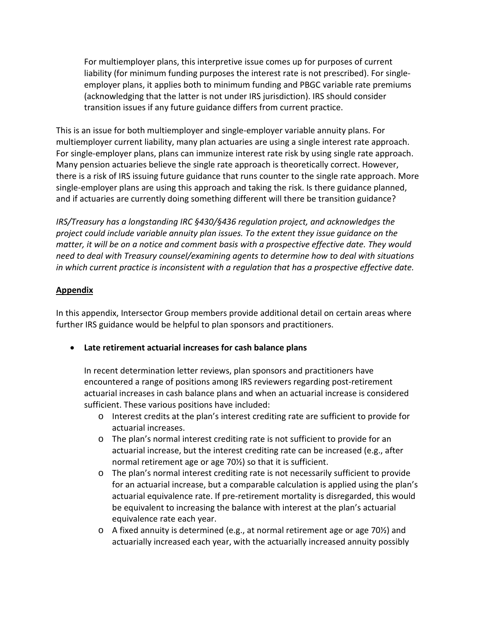For multiemployer plans, this interpretive issue comes up for purposes of current liability (for minimum funding purposes the interest rate is not prescribed). For singleemployer plans, it applies both to minimum funding and PBGC variable rate premiums (acknowledging that the latter is not under IRS jurisdiction). IRS should consider transition issues if any future guidance differs from current practice.

This is an issue for both multiemployer and single-employer variable annuity plans. For multiemployer current liability, many plan actuaries are using a single interest rate approach. For single-employer plans, plans can immunize interest rate risk by using single rate approach. Many pension actuaries believe the single rate approach is theoretically correct. However, there is a risk of IRS issuing future guidance that runs counter to the single rate approach. More single-employer plans are using this approach and taking the risk. Is there guidance planned, and if actuaries are currently doing something different will there be transition guidance?

*IRS/Treasury has a longstanding IRC §430/§436 regulation project, and acknowledges the project could include variable annuity plan issues. To the extent they issue guidance on the matter, it will be on a notice and comment basis with a prospective effective date. They would need to deal with Treasury counsel/examining agents to determine how to deal with situations in which current practice is inconsistent with a regulation that has a prospective effective date.* 

## **Appendix**

In this appendix, Intersector Group members provide additional detail on certain areas where further IRS guidance would be helpful to plan sponsors and practitioners.

• **Late retirement actuarial increases for cash balance plans**

In recent determination letter reviews, plan sponsors and practitioners have encountered a range of positions among IRS reviewers regarding post-retirement actuarial increases in cash balance plans and when an actuarial increase is considered sufficient. These various positions have included:

- o Interest credits at the plan's interest crediting rate are sufficient to provide for actuarial increases.
- o The plan's normal interest crediting rate is not sufficient to provide for an actuarial increase, but the interest crediting rate can be increased (e.g., after normal retirement age or age 70½) so that it is sufficient.
- o The plan's normal interest crediting rate is not necessarily sufficient to provide for an actuarial increase, but a comparable calculation is applied using the plan's actuarial equivalence rate. If pre-retirement mortality is disregarded, this would be equivalent to increasing the balance with interest at the plan's actuarial equivalence rate each year.
- o A fixed annuity is determined (e.g., at normal retirement age or age 70½) and actuarially increased each year, with the actuarially increased annuity possibly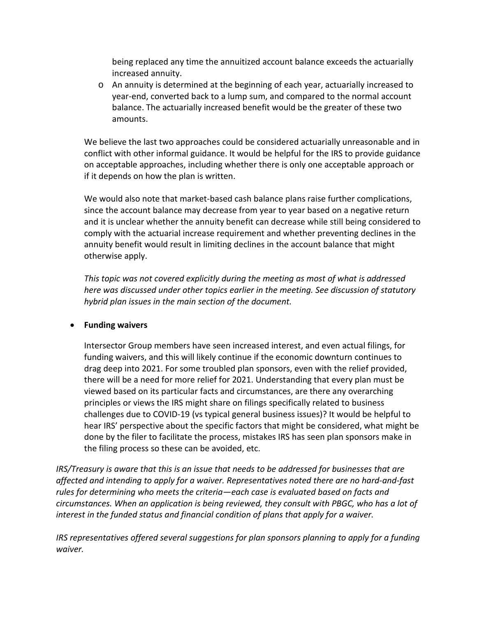being replaced any time the annuitized account balance exceeds the actuarially increased annuity.

o An annuity is determined at the beginning of each year, actuarially increased to year-end, converted back to a lump sum, and compared to the normal account balance. The actuarially increased benefit would be the greater of these two amounts.

We believe the last two approaches could be considered actuarially unreasonable and in conflict with other informal guidance. It would be helpful for the IRS to provide guidance on acceptable approaches, including whether there is only one acceptable approach or if it depends on how the plan is written.

We would also note that market-based cash balance plans raise further complications, since the account balance may decrease from year to year based on a negative return and it is unclear whether the annuity benefit can decrease while still being considered to comply with the actuarial increase requirement and whether preventing declines in the annuity benefit would result in limiting declines in the account balance that might otherwise apply.

*This topic was not covered explicitly during the meeting as most of what is addressed here was discussed under other topics earlier in the meeting. See discussion of statutory hybrid plan issues in the main section of the document.*

## • **Funding waivers**

Intersector Group members have seen increased interest, and even actual filings, for funding waivers, and this will likely continue if the economic downturn continues to drag deep into 2021. For some troubled plan sponsors, even with the relief provided, there will be a need for more relief for 2021. Understanding that every plan must be viewed based on its particular facts and circumstances, are there any overarching principles or views the IRS might share on filings specifically related to business challenges due to COVID-19 (vs typical general business issues)? It would be helpful to hear IRS' perspective about the specific factors that might be considered, what might be done by the filer to facilitate the process, mistakes IRS has seen plan sponsors make in the filing process so these can be avoided, etc.

*IRS/Treasury is aware that this is an issue that needs to be addressed for businesses that are affected and intending to apply for a waiver. Representatives noted there are no hard-and-fast rules for determining who meets the criteria—each case is evaluated based on facts and circumstances. When an application is being reviewed, they consult with PBGC, who has a lot of interest in the funded status and financial condition of plans that apply for a waiver.*

*IRS representatives offered several suggestions for plan sponsors planning to apply for a funding waiver.*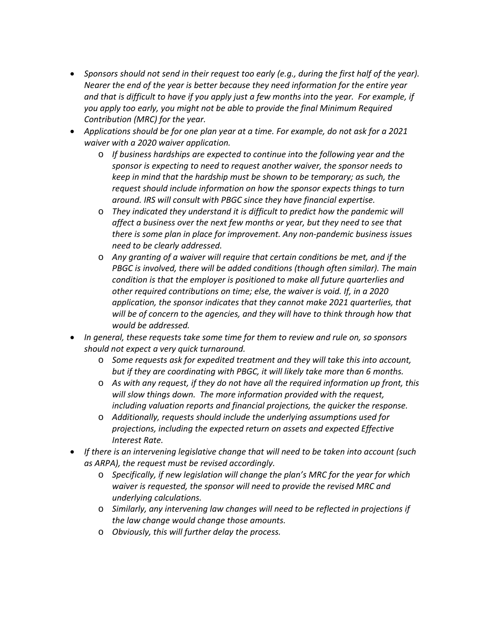- *Sponsors should not send in their request too early (e.g., during the first half of the year). Nearer the end of the year is better because they need information for the entire year and that is difficult to have if you apply just a few months into the year. For example, if you apply too early, you might not be able to provide the final Minimum Required Contribution (MRC) for the year.*
- *Applications should be for one plan year at a time. For example, do not ask for a 2021 waiver with a 2020 waiver application.* 
	- o *If business hardships are expected to continue into the following year and the sponsor is expecting to need to request another waiver, the sponsor needs to keep in mind that the hardship must be shown to be temporary; as such, the request should include information on how the sponsor expects things to turn around. IRS will consult with PBGC since they have financial expertise.*
	- o *They indicated they understand it is difficult to predict how the pandemic will affect a business over the next few months or year, but they need to see that there is some plan in place for improvement. Any non-pandemic business issues need to be clearly addressed.*
	- o *Any granting of a waiver will require that certain conditions be met, and if the PBGC is involved, there will be added conditions (though often similar). The main condition is that the employer is positioned to make all future quarterlies and other required contributions on time; else, the waiver is void. If, in a 2020 application, the sponsor indicates that they cannot make 2021 quarterlies, that will be of concern to the agencies, and they will have to think through how that would be addressed.*
- *In general, these requests take some time for them to review and rule on, so sponsors should not expect a very quick turnaround.* 
	- o *Some requests ask for expedited treatment and they will take this into account, but if they are coordinating with PBGC, it will likely take more than 6 months.*
	- o *As with any request, if they do not have all the required information up front, this will slow things down. The more information provided with the request, including valuation reports and financial projections, the quicker the response.*
	- o *Additionally, requests should include the underlying assumptions used for projections, including the expected return on assets and expected Effective Interest Rate.*
- *If there is an intervening legislative change that will need to be taken into account (such as ARPA), the request must be revised accordingly.*
	- o *Specifically, if new legislation will change the plan's MRC for the year for which waiver is requested, the sponsor will need to provide the revised MRC and underlying calculations.*
	- o *Similarly, any intervening law changes will need to be reflected in projections if the law change would change those amounts.*
	- o *Obviously, this will further delay the process.*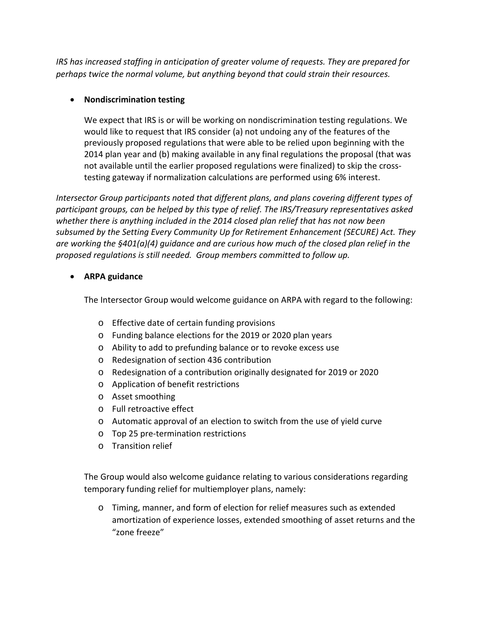*IRS has increased staffing in anticipation of greater volume of requests. They are prepared for perhaps twice the normal volume, but anything beyond that could strain their resources.*

# • **Nondiscrimination testing**

We expect that IRS is or will be working on nondiscrimination testing regulations. We would like to request that IRS consider (a) not undoing any of the features of the previously proposed regulations that were able to be relied upon beginning with the 2014 plan year and (b) making available in any final regulations the proposal (that was not available until the earlier proposed regulations were finalized) to skip the crosstesting gateway if normalization calculations are performed using 6% interest.

*Intersector Group participants noted that different plans, and plans covering different types of participant groups, can be helped by this type of relief. The IRS/Treasury representatives asked whether there is anything included in the 2014 closed plan relief that has not now been subsumed by the Setting Every Community Up for Retirement Enhancement (SECURE) Act. They are working the §401(a)(4) guidance and are curious how much of the closed plan relief in the proposed regulations is still needed. Group members committed to follow up.*

## • **ARPA guidance**

The Intersector Group would welcome guidance on ARPA with regard to the following:

- o Effective date of certain funding provisions
- o Funding balance elections for the 2019 or 2020 plan years
- o Ability to add to prefunding balance or to revoke excess use
- o Redesignation of section 436 contribution
- o Redesignation of a contribution originally designated for 2019 or 2020
- o Application of benefit restrictions
- o Asset smoothing
- o Full retroactive effect
- o Automatic approval of an election to switch from the use of yield curve
- o Top 25 pre-termination restrictions
- o Transition relief

The Group would also welcome guidance relating to various considerations regarding temporary funding relief for multiemployer plans, namely:

o Timing, manner, and form of election for relief measures such as extended amortization of experience losses, extended smoothing of asset returns and the "zone freeze"